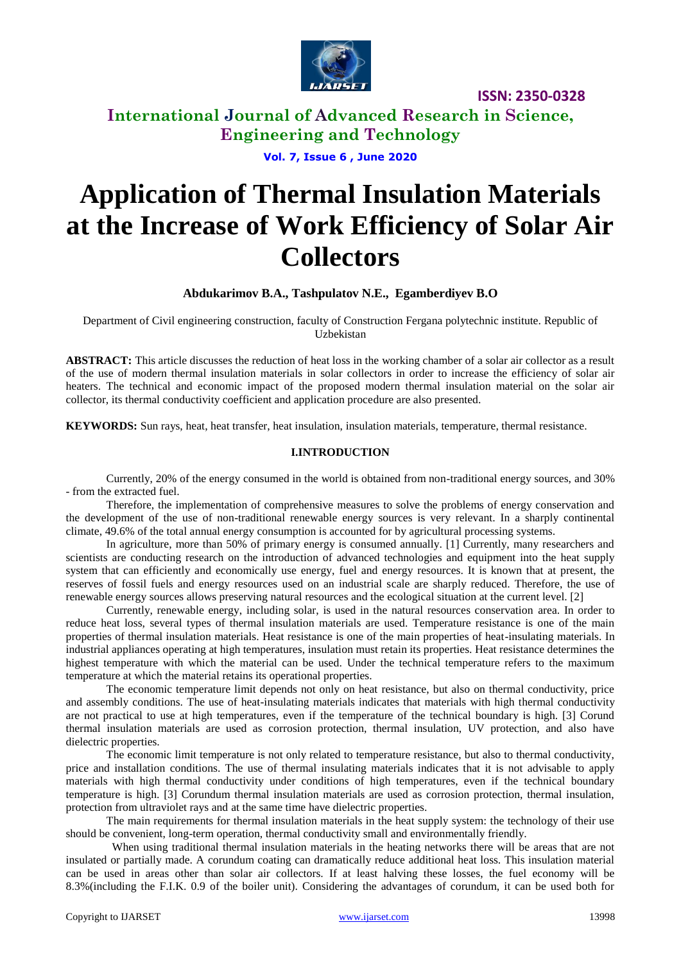

**International Journal of Advanced Research in Science, Engineering and Technology**

**Vol. 7, Issue 6 , June 2020**

# **Application of Thermal Insulation Materials at the Increase of Work Efficiency of Solar Air Collectors**

**Abdukarimov B.A., Tashpulatov N.E., Egamberdiyev B.O**

Department of Civil engineering construction, faculty of Construction Fergana polytechnic institute. Republic of Uzbekistan

**ABSTRACT:** This article discusses the reduction of heat loss in the working chamber of a solar air collector as a result of the use of modern thermal insulation materials in solar collectors in order to increase the efficiency of solar air heaters. The technical and economic impact of the proposed modern thermal insulation material on the solar air collector, its thermal conductivity coefficient and application procedure are also presented.

**KEYWORDS:** Sun rays, heat, heat transfer, heat insulation, insulation materials, temperature, thermal resistance.

#### **I.INTRODUCTION**

Currently, 20% of the energy consumed in the world is obtained from non-traditional energy sources, and 30% - from the extracted fuel.

Therefore, the implementation of comprehensive measures to solve the problems of energy conservation and the development of the use of non-traditional renewable energy sources is very relevant. In a sharply continental climate, 49.6% of the total annual energy consumption is accounted for by agricultural processing systems.

In agriculture, more than 50% of primary energy is consumed annually. [1] Currently, many researchers and scientists are conducting research on the introduction of advanced technologies and equipment into the heat supply system that can efficiently and economically use energy, fuel and energy resources. It is known that at present, the reserves of fossil fuels and energy resources used on an industrial scale are sharply reduced. Therefore, the use of renewable energy sources allows preserving natural resources and the ecological situation at the current level. [2]

Currently, renewable energy, including solar, is used in the natural resources conservation area. In order to reduce heat loss, several types of thermal insulation materials are used. Temperature resistance is one of the main properties of thermal insulation materials. Heat resistance is one of the main properties of heat-insulating materials. In industrial appliances operating at high temperatures, insulation must retain its properties. Heat resistance determines the highest temperature with which the material can be used. Under the technical temperature refers to the maximum temperature at which the material retains its operational properties.

The economic temperature limit depends not only on heat resistance, but also on thermal conductivity, price and assembly conditions. The use of heat-insulating materials indicates that materials with high thermal conductivity are not practical to use at high temperatures, even if the temperature of the technical boundary is high. [3] Corund thermal insulation materials are used as corrosion protection, thermal insulation, UV protection, and also have dielectric properties.

The economic limit temperature is not only related to temperature resistance, but also to thermal conductivity, price and installation conditions. The use of thermal insulating materials indicates that it is not advisable to apply materials with high thermal conductivity under conditions of high temperatures, even if the technical boundary temperature is high. [3] Corundum thermal insulation materials are used as corrosion protection, thermal insulation, protection from ultraviolet rays and at the same time have dielectric properties.

The main requirements for thermal insulation materials in the heat supply system: the technology of their use should be convenient, long-term operation, thermal conductivity small and environmentally friendly.

When using traditional thermal insulation materials in the heating networks there will be areas that are not insulated or partially made. A corundum coating can dramatically reduce additional heat loss. This insulation material can be used in areas other than solar air collectors. If at least halving these losses, the fuel economy will be 8.3%(including the F.I.K. 0.9 of the boiler unit). Considering the advantages of corundum, it can be used both for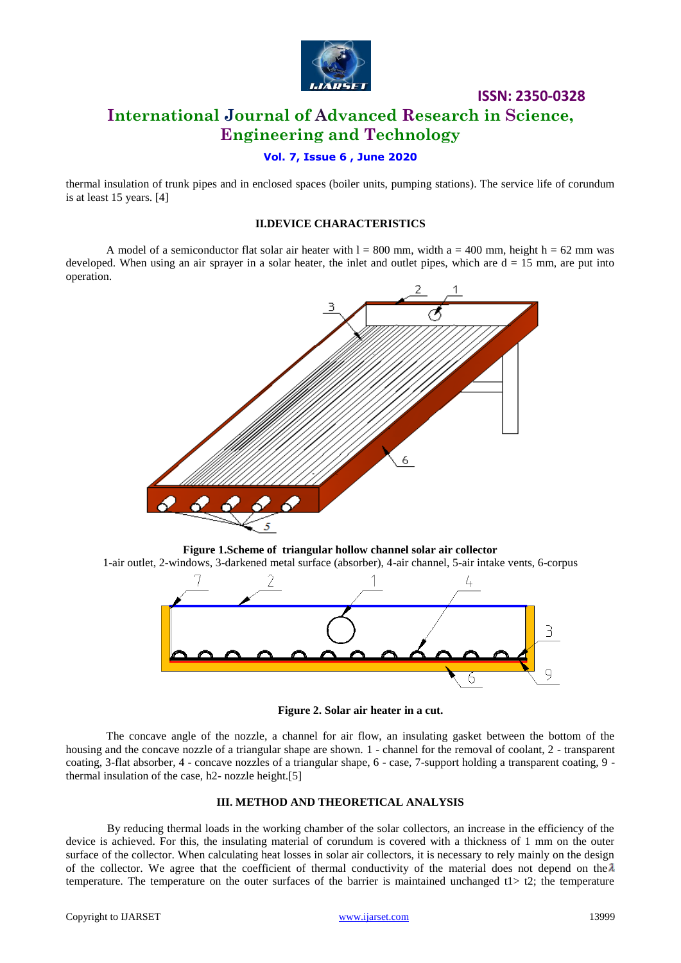

# **International Journal of Advanced Research in Science, Engineering and Technology**

## **Vol. 7, Issue 6 , June 2020**

thermal insulation of trunk pipes and in enclosed spaces (boiler units, pumping stations). The service life of corundum is at least 15 years. [4]

#### **II.DEVICE CHARACTERISTICS**

A model of a semiconductor flat solar air heater with  $l = 800$  mm, width a = 400 mm, height h = 62 mm was developed. When using an air sprayer in a solar heater, the inlet and outlet pipes, which are  $d = 15$  mm, are put into operation.







**Figure 2. Solar air heater in a cut.**

The concave angle of the nozzle, a channel for air flow, an insulating gasket between the bottom of the housing and the concave nozzle of a triangular shape are shown. 1 - channel for the removal of coolant, 2 - transparent coating, 3-flat absorber, 4 - concave nozzles of a triangular shape, 6 - case, 7-support holding a transparent coating, 9 thermal insulation of the case, h2- nozzle height.[5]

#### **III. METHOD AND THEORETICAL ANALYSIS**

By reducing thermal loads in the working chamber of the solar collectors, an increase in the efficiency of the device is achieved. For this, the insulating material of corundum is covered with a thickness of 1 mm on the outer surface of the collector. When calculating heat losses in solar air collectors, it is necessary to rely mainly on the design of the collector. We agree that the coefficient of thermal conductivity of the material does not depend on the  $\lambda$ temperature. The temperature on the outer surfaces of the barrier is maintained unchanged  $t$  t2; the temperature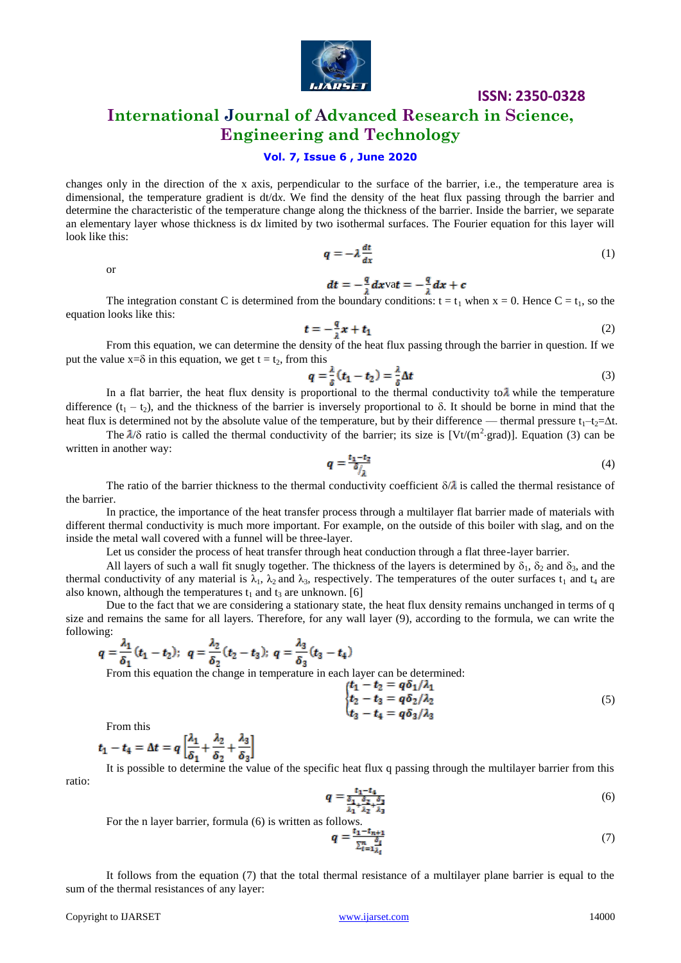

# **International Journal of Advanced Research in Science, Engineering and Technology**

## **Vol. 7, Issue 6 , June 2020**

changes only in the direction of the x axis, perpendicular to the surface of the barrier, i.e., the temperature area is dimensional, the temperature gradient is dt/d*x*. We find the density of the heat flux passing through the barrier and determine the characteristic of the temperature change along the thickness of the barrier. Inside the barrier, we separate an elementary layer whose thickness is d*x* limited by two isothermal surfaces. The Fourier equation for this layer will look like this:

or

$$
q = -\lambda \frac{dt}{dx} \tag{1}
$$

va**t** =  $-\frac{4}{3}dx + c$ 

The integration constant C is determined from the boundary conditions:  $t = t_1$  when  $x = 0$ . Hence  $C = t_1$ , so the equation looks like this:

$$
t = -\frac{q}{i}x + t_1\tag{2}
$$

From this equation, we can determine the density of the heat flux passing through the barrier in question. If we put the value  $x = \delta$  in this equation, we get  $t = t_2$ , from this

$$
q = \frac{\lambda}{\delta}(t_1 - t_2) = \frac{\lambda}{\delta} \Delta t \tag{3}
$$

In a flat barrier, the heat flux density is proportional to the thermal conductivity to  $\lambda$  while the temperature difference  $(t_1 - t_2)$ , and the thickness of the barrier is inversely proportional to  $\delta$ . It should be borne in mind that the heat flux is determined not by the absolute value of the temperature, but by their difference — thermal pressure  $t_1-t_2=At$ .

The  $\lambda/\delta$  ratio is called the thermal conductivity of the barrier; its size is [Vt/(m<sup>2</sup>·grad)]. Equation (3) can be written in another way:

$$
q = \frac{t_1 - t_2}{\delta / \lambda} \tag{4}
$$

The ratio of the barrier thickness to the thermal conductivity coefficient  $\delta/\lambda$  is called the thermal resistance of the barrier.

In practice, the importance of the heat transfer process through a multilayer flat barrier made of materials with different thermal conductivity is much more important. For example, on the outside of this boiler with slag, and on the inside the metal wall covered with a funnel will be three-layer.

Let us consider the process of heat transfer through heat conduction through a flat three-layer barrier.

All layers of such a wall fit snugly together. The thickness of the layers is determined by  $\delta_1$ ,  $\delta_2$  and  $\delta_3$ , and the thermal conductivity of any material is  $\lambda_1$ ,  $\lambda_2$  and  $\lambda_3$ , respectively. The temperatures of the outer surfaces  $t_1$  and  $t_4$  are also known, although the temperatures  $t_1$  and  $t_3$  are unknown. [6]

Due to the fact that we are considering a stationary state, the heat flux density remains unchanged in terms of q size and remains the same for all layers. Therefore, for any wall layer (9), according to the formula, we can write the following:

$$
q = \frac{\lambda_1}{\delta_1}(t_1 - t_2); \ \ q = \frac{\lambda_2}{\delta_2}(t_2 - t_3); \ \ q = \frac{\lambda_3}{\delta_3}(t_3 - t_4)
$$

From this equation the change in temperature in each layer can be determined:

$$
\begin{cases}\n t_1 - t_2 = q \delta_1 / \lambda_1 \\
t_2 - t_3 = q \delta_2 / \lambda_2 \\
t_3 - t_4 = q \delta_3 / \lambda_3\n\end{cases} (5)
$$

From this

$$
t_1 - t_4 = \Delta t = q \left[ \frac{\lambda_1}{\delta_1} + \frac{\lambda_2}{\delta_2} + \frac{\lambda_3}{\delta_3} \right]
$$

It is possible to determine the value of the specific heat flux q passing through the multilayer barrier from this ratio:

$$
q = \frac{t_1 - t_4}{\frac{\delta_1}{\lambda_1} + \frac{\delta_2}{\lambda_2} + \frac{\delta_3}{\lambda_3}}\tag{6}
$$

For the n layer barrier, formula (6) is written as follows.  $q = \frac{q_1 - q_1 + q_2}{\pi r_1 - r_2}$  (7)

It follows from the equation (7) that the total thermal resistance of a multilayer plane barrier is equal to the sum of the thermal resistances of any layer: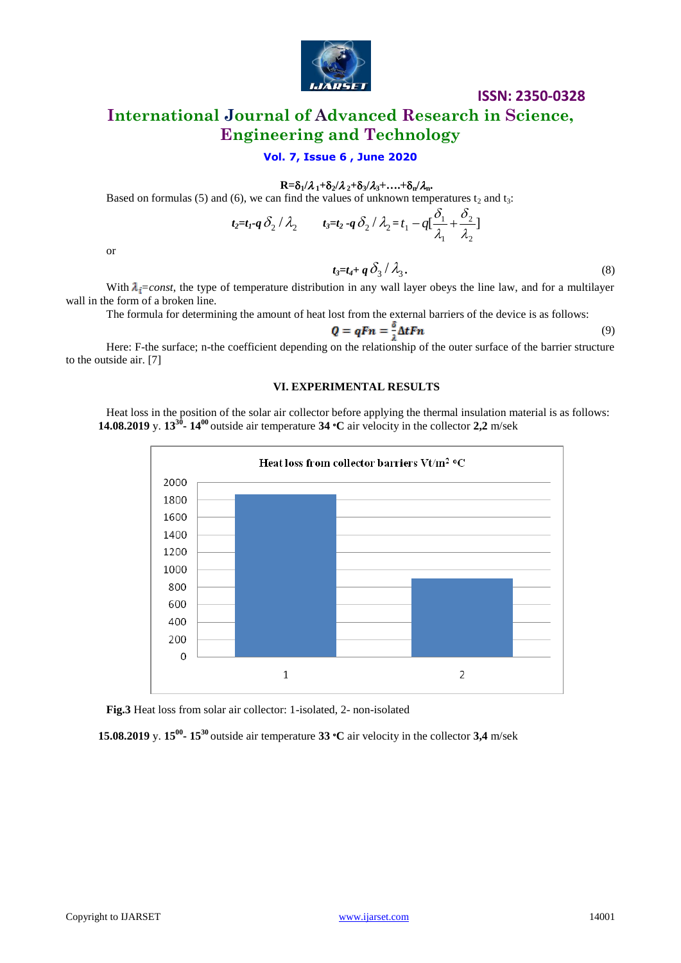

# **International Journal of Advanced Research in Science, Engineering and Technology**

## **Vol. 7, Issue 6 , June 2020**

 $R = \delta_1 / \lambda_1 + \delta_2 / \lambda_2 + \delta_3 / \lambda_3 + \ldots + \delta_n / \lambda_n$ 

Based on formulas (5) and (6), we can find the values of unknown temperatures  $t_2$  and  $t_3$ :

$$
t_2=t_1-q\delta_2/\lambda_2 \qquad t_3=t_2-q\delta_2/\lambda_2=t_1-q[\frac{\delta_1}{\lambda_1}+\frac{\delta_2}{\lambda_2}]
$$

or

 $t_3 = t_4 + q \delta_3 / \lambda_3.$  (8)

With  $\lambda_i = const$ , the type of temperature distribution in any wall layer obeys the line law, and for a multilayer wall in the form of a broken line.

The formula for determining the amount of heat lost from the external barriers of the device is as follows:

$$
Q = qFn = \frac{\delta}{2} \Delta tFn \tag{9}
$$

Here: F-the surface; n-the coefficient depending on the relationship of the outer surface of the barrier structure to the outside air. [7]

#### **VI. EXPERIMENTAL RESULTS**

Heat loss in the position of the solar air collector before applying the thermal insulation material is as follows: **14.08.2019** y. **13<sup>30</sup> - 14<sup>00</sup>**outside air temperature **34** ∘**C** air velocity in the collector **2,2** m/sek



**Fig.3** Heat loss from solar air collector: 1-isolated, 2- non-isolated

**15.08.2019** y. **15<sup>00</sup> ⋅ 15<sup>30</sup>** outside air temperature **33** <sup>•</sup>**C** air velocity in the collector **3,4** m/sek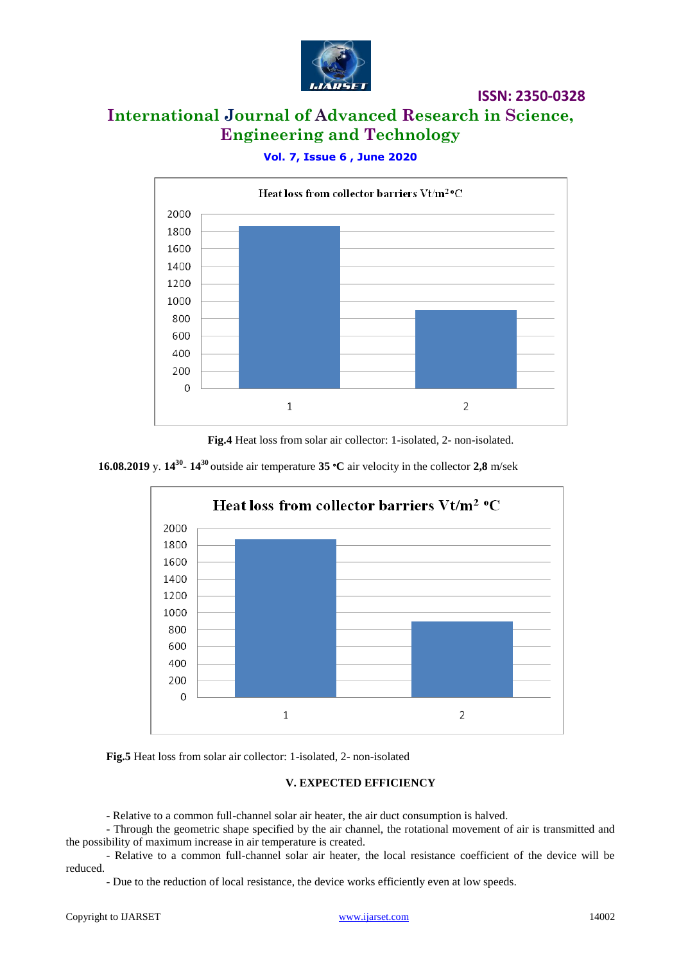

# **International Journal of Advanced Research in Science, Engineering and Technology**

# **Vol. 7, Issue 6 , June 2020**



**Fig.4** Heat loss from solar air collector: 1-isolated, 2- non-isolated.

## **16.08.2019** y. **14<sup>30</sup> - 14**<sup>30</sup> outside air temperature **35**  $\textdegree$ **C** air velocity in the collector **2,8** m/sek



**Fig.5** Heat loss from solar air collector: 1-isolated, 2- non-isolated

## **V. EXPECTED EFFICIENCY**

- Relative to a common full-channel solar air heater, the air duct consumption is halved.

- Through the geometric shape specified by the air channel, the rotational movement of air is transmitted and the possibility of maximum increase in air temperature is created.

- Relative to a common full-channel solar air heater, the local resistance coefficient of the device will be reduced.

- Due to the reduction of local resistance, the device works efficiently even at low speeds.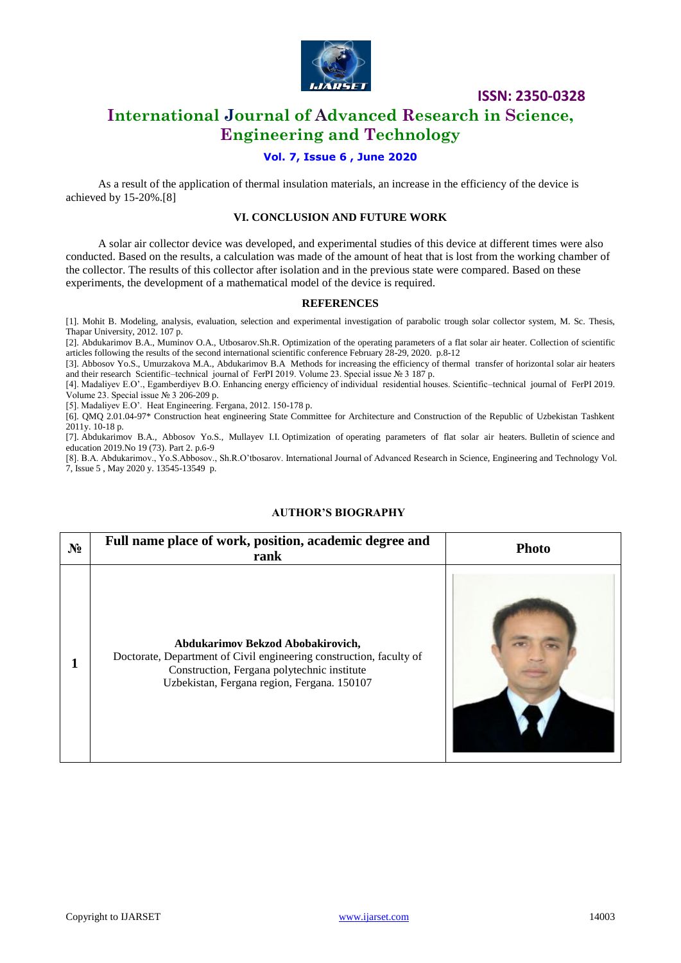

# **International Journal of Advanced Research in Science, Engineering and Technology**

## **Vol. 7, Issue 6 , June 2020**

As a result of the application of thermal insulation materials, an increase in the efficiency of the device is achieved by 15-20%.[8]

#### **VI. CONCLUSION AND FUTURE WORK**

A solar air collector device was developed, and experimental studies of this device at different times were also conducted. Based on the results, a calculation was made of the amount of heat that is lost from the working chamber of the collector. The results of this collector after isolation and in the previous state were compared. Based on these experiments, the development of a mathematical model of the device is required.

#### **REFERENCES**

[1]. Mohit B. Modeling, analysis, evaluation, selection and experimental investigation of parabolic trough solar collector system, M. Sc. Thesis, Thapar University, 2012. 107 p.

[2]. Abdukarimov B.A., Muminov O.A., Utbosarov.Sh.R. Optimization of the operating parameters of a flat solar air heater. Collection of scientific articles following the results of the second international scientific conference February 28-29, 2020. p.8-12

[3]. Abbosov Yo.S., Umurzakova M.A., Abdukarimov B.A Methods for increasing the efficiency of thermal transfer of horizontal solar air heaters and their research Scientific–technical journal of FerPI 2019. Volume 23. Special issue № 3 187 p.

[4]. Madaliyev E.O'., Egamberdiyev B.O. Enhancing energy efficiency of individual residential houses. Scientific–technical journal of FerPI 2019. Volume 23. Special issue  $N<sub>2</sub>$  3 206-209 p.

[5]. Madaliyev E.O'. Heat Engineering. Fergana, 2012. 150-178 p.

[6]. QMQ 2.01.04-97\* Construction heat engineering State Committee for Architecture and Construction of the Republic of Uzbekistan Tashkent 2011y. 10-18 p.

[7]. Abdukarimov B.A., Abbosov Yo.S., Mullayev I.I. Optimization of operating parameters of flat solar air heaters. Bulletin of science and education 2019.No 19 (73). Part 2. p.6-9

[8]. B.A. Abdukarimov., Yo.S.Abbosov., Sh.R.O'tbosarov. International Journal of Advanced Research in Science, Engineering and Technology Vol. 7, Issue 5 , May 2020 y. 13545-13549 p.

## **AUTHOR'S BIOGRAPHY**

| $N_2$ | Full name place of work, position, academic degree and<br>rank                                                                                                                                         | <b>Photo</b> |
|-------|--------------------------------------------------------------------------------------------------------------------------------------------------------------------------------------------------------|--------------|
|       | Abdukarimov Bekzod Abobakirovich,<br>Doctorate, Department of Civil engineering construction, faculty of<br>Construction, Fergana polytechnic institute<br>Uzbekistan, Fergana region, Fergana. 150107 |              |